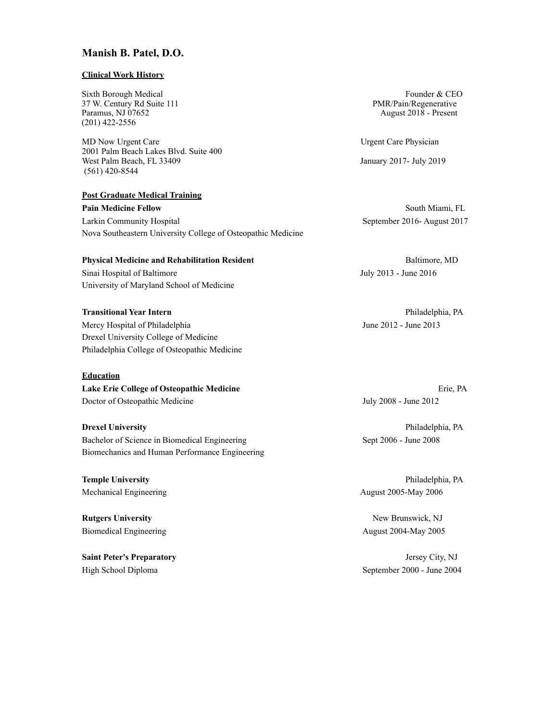# **Manish B. Patel, D.O.**

#### **Clinical Work History**

Sixth Borough Medical **Founder & CEO** Founder & CEO 37 W. Century Rd Suite 111 PMR/Pain/Regenerative Paramus, NJ 07652 **August 2018** - Present (201) 422-2556

MD Now Urgent Care **Care Care Physician** 2001 Palm Beach Lakes Blvd. Suite 400 West Palm Beach, FL 33409 January 2017- July 2019 (561) 420-8544

**Post Graduate Medical Training Pain Medicine Fellow** South Miami, FL Larkin Community Hospital September 2016- August 2017 Nova Southeastern University College of Osteopathic Medicine

**Physical Medicine and Rehabilitation Resident** Baltimore, MD

Sinai Hospital of Baltimore July 2013 - June 2016 University of Maryland School of Medicine

**Transitional Year Intern** Philadelphia, PA Mercy Hospital of Philadelphia June 2012 - June 2013 Drexel University College of Medicine Philadelphia College of Osteopathic Medicine

# **Education**

**Lake Erie College of Osteopathic Medicine** Erie, PA Doctor of Osteopathic Medicine July 2008 - June 2012

Bachelor of Science in Biomedical Engineering Sept 2006 - June 2008 Biomechanics and Human Performance Engineering

Mechanical Engineering **August 2005-May 2006** 

**Rutgers University New Brunswick, NJ** 

**Saint Peter's Preparatory** Jersey City, NJ

**Drexel University** Philadelphia, PA

**Temple University** Philadelphia, PA

Biomedical Engineering **August 2004-May 2005** 2005

High School Diploma September 2000 - June 2004